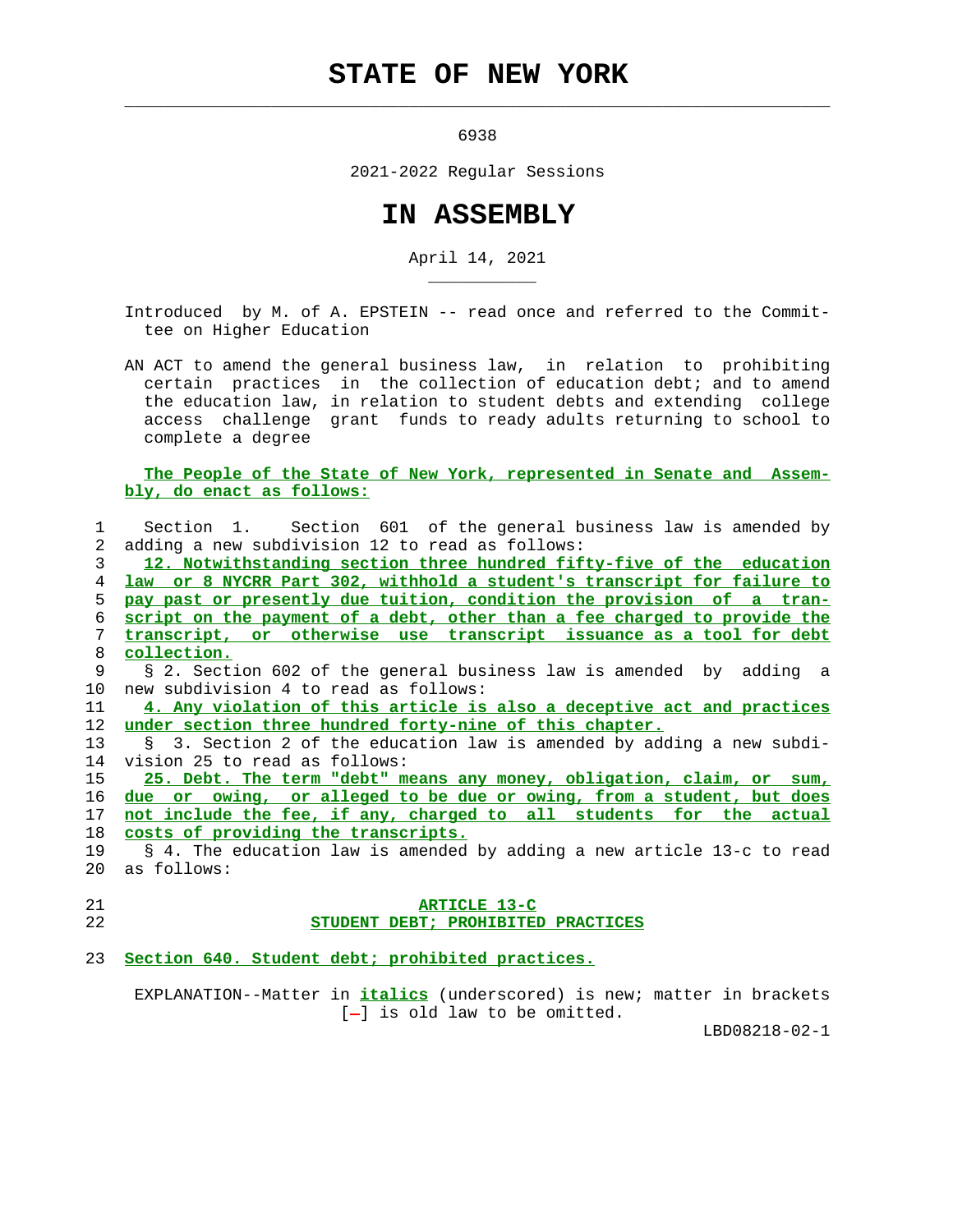## **STATE OF NEW YORK**

 $\mathcal{L}_\text{max} = \frac{1}{2} \sum_{i=1}^{n} \frac{1}{2} \sum_{i=1}^{n} \frac{1}{2} \sum_{i=1}^{n} \frac{1}{2} \sum_{i=1}^{n} \frac{1}{2} \sum_{i=1}^{n} \frac{1}{2} \sum_{i=1}^{n} \frac{1}{2} \sum_{i=1}^{n} \frac{1}{2} \sum_{i=1}^{n} \frac{1}{2} \sum_{i=1}^{n} \frac{1}{2} \sum_{i=1}^{n} \frac{1}{2} \sum_{i=1}^{n} \frac{1}{2} \sum_{i=1}^{n} \frac{1$ 

\_\_\_\_\_\_\_\_\_\_\_

6938

2021-2022 Regular Sessions

## **IN ASSEMBLY**

April 14, 2021

 Introduced by M. of A. EPSTEIN -- read once and referred to the Commit tee on Higher Education

 AN ACT to amend the general business law, in relation to prohibiting certain practices in the collection of education debt; and to amend the education law, in relation to student debts and extending college access challenge grant funds to ready adults returning to school to complete a degree

## **The People of the State of New York, represented in Senate and Assem bly, do enact as follows:**

| $\mathbf{1}$    | Section 1. Section 601 of the general business law is amended by         |
|-----------------|--------------------------------------------------------------------------|
| 2               | adding a new subdivision 12 to read as follows:                          |
| 3               | 12. Notwithstanding section three hundred fifty-five of the education    |
| 4               | law or 8 NYCRR Part 302, withhold a student's transcript for failure to  |
| 5.              | pay past or presently due tuition, condition the provision of a tran-    |
| 6               | script on the payment of a debt, other than a fee charged to provide the |
| 7               | transcript, or otherwise use transcript issuance as a tool for debt      |
| 8               | collection.                                                              |
| 9               | § 2. Section 602 of the general business law is amended by adding a      |
| 10              | new subdivision 4 to read as follows:                                    |
| 11              | 4. Any violation of this article is also a deceptive act and practices   |
| 12 <sup>°</sup> | under section three hundred forty-nine of this chapter.                  |
| 13              | § 3. Section 2 of the education law is amended by adding a new subdi-    |
| 14              | vision 25 to read as follows:                                            |
| 15              | 25. Debt. The term "debt" means any money, obligation, claim, or sum,    |
| 16              | due or owing, or alleged to be due or owing, from a student, but does    |
| 17              | not include the fee, if any, charged to all students for the actual      |
| 18              | costs of providing the transcripts.                                      |
| 19              | § 4. The education law is amended by adding a new article 13-c to read   |
| 20              | as follows:                                                              |
| 21              | ARTICLE 13-C                                                             |
| 22              | STUDENT DEBT; PROHIBITED PRACTICES                                       |

23 **Section 640. Student debt; prohibited practices.**

 EXPLANATION--Matter in **italics** (underscored) is new; matter in brackets  $[-]$  is old law to be omitted.

LBD08218-02-1